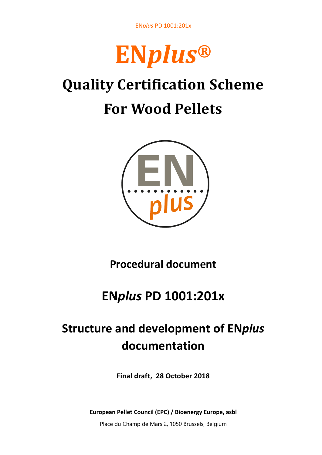

# **Quality Certification Scheme For Wood Pellets**



**Procedural document**

# **EN***plus* **PD 1001:201x**

# **Structure and development of EN***plus* **documentation**

**Final draft, 28 October 2018**

**European Pellet Council (EPC) / Bioenergy Europe, asbl**

Place du Champ de Mars 2, 1050 Brussels, Belgium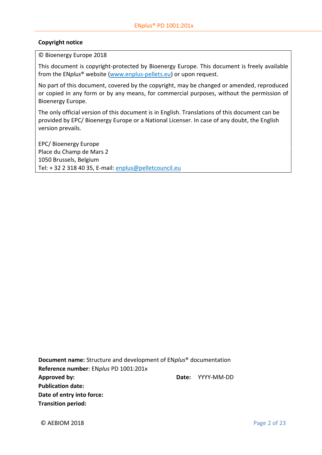#### **Copyright notice**

© Bioenergy Europe 2018

This document is copyright-protected by Bioenergy Europe. This document is freely available from the EN*plus*® website [\(www.enplus-pellets.eu\)](http://www.enplus-pellets.eu/) or upon request.

No part of this document, covered by the copyright, may be changed or amended, reproduced or copied in any form or by any means, for commercial purposes, without the permission of Bioenergy Europe.

The only official version of this document is in English. Translations of this document can be provided by EPC/ Bioenergy Europe or a National Licenser. In case of any doubt, the English version prevails.

EPC/ Bioenergy Europe Place du Champ de Mars 2 1050 Brussels, Belgium Tel: + 32 2 318 40 35, E-mail: [enplus@pelletcouncil.eu](mailto:enplus@pelletcouncil.eu)

**Document name:** Structure and development of EN*plus*® documentation **Reference number**: EN*plus* PD 1001:201x **Approved by: Date:** YYYY-MM-DD **Publication date: Date of entry into force: Transition period:**

© AEBIOM 2018 Page 2 of 23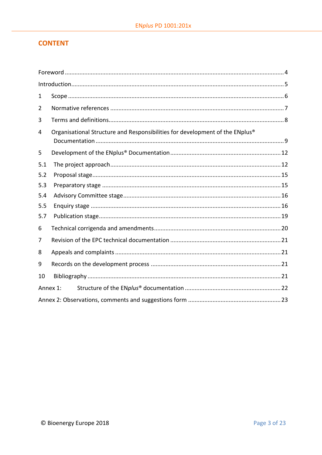# **CONTENT**

| 1   |                                                                              |  |  |  |  |
|-----|------------------------------------------------------------------------------|--|--|--|--|
| 2   |                                                                              |  |  |  |  |
| 3   |                                                                              |  |  |  |  |
| 4   | Organisational Structure and Responsibilities for development of the ENplus® |  |  |  |  |
| 5   |                                                                              |  |  |  |  |
| 5.1 |                                                                              |  |  |  |  |
| 5.2 |                                                                              |  |  |  |  |
| 5.3 |                                                                              |  |  |  |  |
| 5.4 |                                                                              |  |  |  |  |
| 5.5 |                                                                              |  |  |  |  |
| 5.7 |                                                                              |  |  |  |  |
| 6   |                                                                              |  |  |  |  |
| 7   |                                                                              |  |  |  |  |
| 8   |                                                                              |  |  |  |  |
| 9   |                                                                              |  |  |  |  |
| 10  |                                                                              |  |  |  |  |
|     | Annex 1:                                                                     |  |  |  |  |
|     |                                                                              |  |  |  |  |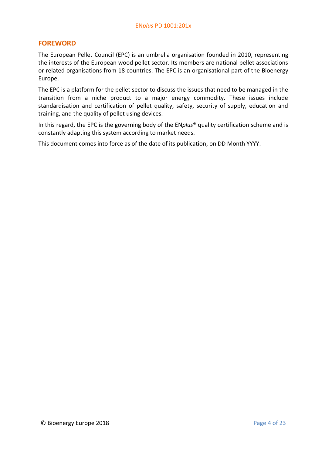# **FOREWORD**

The European Pellet Council (EPC) is an umbrella organisation founded in 2010, representing the interests of the European wood pellet sector. Its members are national pellet associations or related organisations from 18 countries. The EPC is an organisational part of the Bioenergy Europe.

The EPC is a platform for the pellet sector to discuss the issues that need to be managed in the transition from a niche product to a major energy commodity. These issues include standardisation and certification of pellet quality, safety, security of supply, education and training, and the quality of pellet using devices.

In this regard, the EPC is the governing body of the EN*[plus](http://www.enplus-pellets.eu/)*® quality certification scheme and is constantly adapting this system according to market needs.

This document comes into force as of the date of its publication, on DD Month YYYY.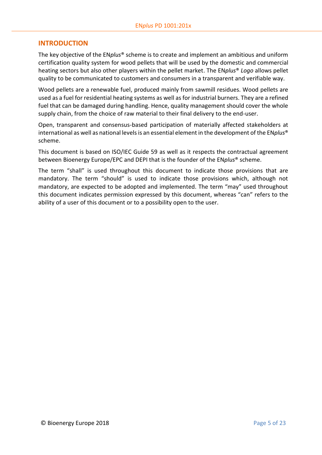# <span id="page-4-0"></span>**INTRODUCTION**

The key objective of the EN*plus*® scheme is to create and implement an ambitious and uniform certification quality system for wood pellets that will be used by the domestic and commercial heating sectors but also other players within the pellet market. The EN*plus*® *Logo* allows pellet quality to be communicated to customers and consumers in a transparent and verifiable way.

Wood pellets are a renewable fuel, produced mainly from sawmill residues. Wood pellets are used as a fuel for residential heating systems as well as for industrial burners. They are a refined fuel that can be damaged during handling. Hence, quality management should cover the whole supply chain, from the choice of raw material to their final delivery to the end-user.

Open, transparent and consensus-based participation of materially affected stakeholders at international as well as national levels is an essential element in the development of the EN*plus*® scheme.

This document is based on ISO/IEC Guide 59 as well as it respects the contractual agreement between Bioenergy Europe/EPC and DEPI that is the founder of the EN*plus*® scheme.

The term "shall" is used throughout this document to indicate those provisions that are mandatory. The term "should" is used to indicate those provisions which, although not mandatory, are expected to be adopted and implemented. The term "may" used throughout this document indicates permission expressed by this document, whereas "can" refers to the ability of a user of this document or to a possibility open to the user.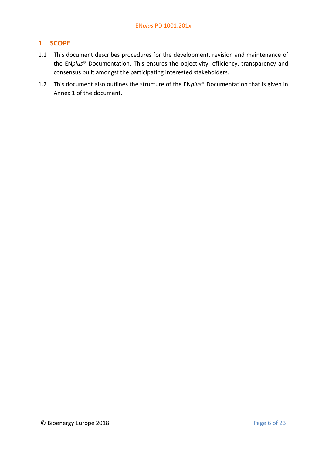# <span id="page-5-0"></span>**1 SCOPE**

- 1.1 This document describes procedures for the development, revision and maintenance of the EN*plus*® Documentation. This ensures the objectivity, efficiency, transparency and consensus built amongst the participating interested stakeholders.
- 1.2 This document also outlines the structure of the EN*plus*® Documentation that is given in Annex 1 of the document.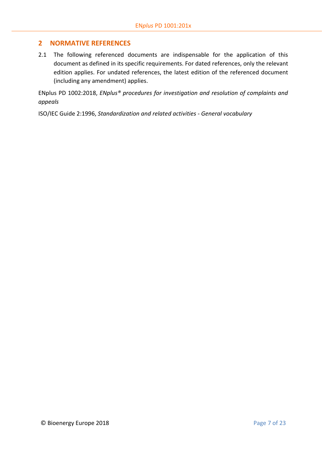# <span id="page-6-0"></span>**2 NORMATIVE REFERENCES**

2.1 The following referenced documents are indispensable for the application of this document as defined in its specific requirements. For dated references, only the relevant edition applies. For undated references, the latest edition of the referenced document (including any amendment) applies.

ENplus PD 1002:2018, *ENplus® procedures for investigation and resolution of complaints and appeals*

ISO/IEC Guide 2:1996, *Standardization and related activities - General vocabulary*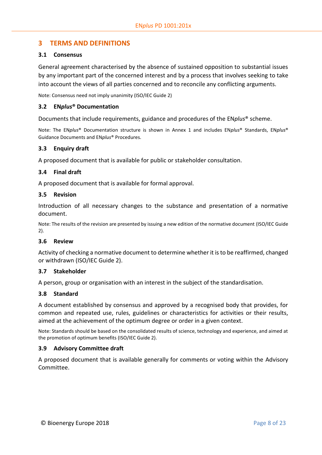# <span id="page-7-0"></span>**3 TERMS AND DEFINITIONS**

#### **3.1 Consensus**

General agreement characterised by the absence of sustained opposition to substantial issues by any important part of the concerned interest and by a process that involves seeking to take into account the views of all parties concerned and to reconcile any conflicting arguments.

Note: Consensus need not imply unanimity (ISO/IEC Guide 2)

#### **3.2 EN***plus***® Documentation**

Documents that include requirements, guidance and procedures of the EN*plus*® scheme.

Note: The EN*plus*® Documentation structure is shown in Annex 1 and includes EN*plus*® Standards, EN*plus*® Guidance Documents and EN*plus*® Procedures.

#### **3.3 Enquiry draft**

A proposed document that is available for public or stakeholder consultation.

#### **3.4 Final draft**

A proposed document that is available for formal approval.

#### **3.5 Revision**

Introduction of all necessary changes to the substance and presentation of a normative document.

Note: The results of the revision are presented by issuing a new edition of the normative document (ISO/IEC Guide 2).

#### **3.6 Review**

Activity of checking a normative document to determine whether it is to be reaffirmed, changed or withdrawn (ISO/IEC Guide 2).

#### **3.7 Stakeholder**

A person, group or organisation with an interest in the subject of the standardisation.

#### **3.8 Standard**

A document established by consensus and approved by a recognised body that provides, for common and repeated use, rules, guidelines or characteristics for activities or their results, aimed at the achievement of the optimum degree or order in a given context.

Note: Standards should be based on the consolidated results of science, technology and experience, and aimed at the promotion of optimum benefits (ISO/IEC Guide 2).

#### **3.9 Advisory Committee draft**

A proposed document that is available generally for comments or voting within the Advisory Committee.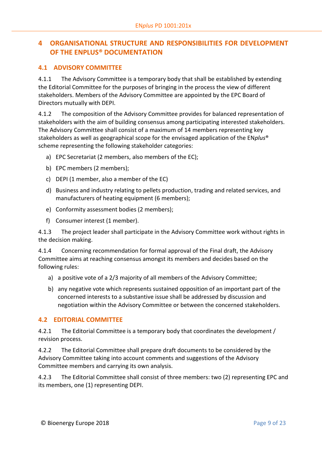# <span id="page-8-0"></span>**4 ORGANISATIONAL STRUCTURE AND RESPONSIBILITIES FOR DEVELOPMENT OF THE ENPLUS® DOCUMENTATION**

# **4.1 ADVISORY COMMITTEE**

4.1.1 The Advisory Committee is a temporary body that shall be established by extending the Editorial Committee for the purposes of bringing in the process the view of different stakeholders. Members of the Advisory Committee are appointed by the EPC Board of Directors mutually with DEPI.

4.1.2 The composition of the Advisory Committee provides for balanced representation of stakeholders with the aim of building consensus among participating interested stakeholders. The Advisory Committee shall consist of a maximum of 14 members representing key stakeholders as well as geographical scope for the envisaged application of the EN*plus*® scheme representing the following stakeholder categories:

- a) EPC Secretariat (2 members, also members of the EC);
- b) EPC members (2 members);
- c) DEPI (1 member, also a member of the EC)
- d) Business and industry relating to pellets production, trading and related services, and manufacturers of heating equipment (6 members);
- e) Conformity assessment bodies (2 members);
- f) Consumer interest (1 member).

4.1.3 The project leader shall participate in the Advisory Committee work without rights in the decision making.

4.1.4 Concerning recommendation for formal approval of the Final draft, the Advisory Committee aims at reaching consensus amongst its members and decides based on the following rules:

- a) a positive vote of a 2/3 majority of all members of the Advisory Committee;
- b) any negative vote which represents sustained opposition of an important part of the concerned interests to a substantive issue shall be addressed by discussion and negotiation within the Advisory Committee or between the concerned stakeholders.

# **4.2 EDITORIAL COMMITTEE**

4.2.1 The Editorial Committee is a temporary body that coordinates the development / revision process.

4.2.2 The Editorial Committee shall prepare draft documents to be considered by the Advisory Committee taking into account comments and suggestions of the Advisory Committee members and carrying its own analysis.

4.2.3 The Editorial Committee shall consist of three members: two (2) representing EPC and its members, one (1) representing DEPI.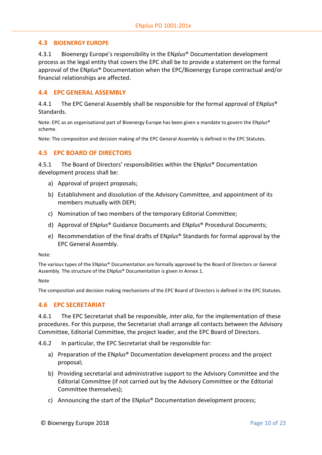# **4.3 BIOENERGY EUROPE**

4.3.1 Bioenergy Europe's responsibility in the EN*plus*® Documentation development process as the legal entity that covers the EPC shall be to provide a statement on the formal approval of the EN*plus*® Documentation when the EPC/Bioenergy Europe contractual and/or financial relationships are affected.

# **4.4 EPC GENERAL ASSEMBLY**

4.4.1 The EPC General Assembly shall be responsible for the formal approval of EN*plus*® Standards.

Note: EPC as an organisational part of Bioenergy Europe has been given a mandate to govern the EN*plus*® scheme.

Note: The composition and decision making of the EPC General Assembly is defined in the EPC Statutes.

# **4.5 EPC BOARD OF DIRECTORS**

4.5.1 The Board of Directors' responsibilities within the EN*plus*® Documentation development process shall be:

- a) Approval of project proposals;
- b) Establishment and dissolution of the Advisory Committee, and appointment of its members mutually with DEPI;
- c) Nomination of two members of the temporary Editorial Committee;
- d) Approval of EN*plus*® Guidance Documents and EN*plus*® Procedural Documents;
- e) Recommendation of the final drafts of EN*plus*® Standards for formal approval by the EPC General Assembly.

Note:

The various types of the EN*plus*® Documentation are formally approved by the Board of Directors or General Assembly. The structure of the EN*plus*® Documentation is given in Annex 1.

Note

The composition and decision making mechanisms of the EPC Board of Directors is defined in the EPC Statutes.

# **4.6 EPC SECRETARIAT**

4.6.1 The EPC Secretariat shall be responsible, *inter alia*, for the implementation of these procedures. For this purpose, the Secretariat shall arrange all contacts between the Advisory Committee, Editorial Committee, the project leader, and the EPC Board of Directors.

4.6.2 In particular, the EPC Secretariat shall be responsible for:

- a) Preparation of the EN*plus*® Documentation development process and the project proposal;
- b) Providing secretarial and administrative support to the Advisory Committee and the Editorial Committee (if not carried out by the Advisory Committee or the Editorial Committee themselves);
- c) Announcing the start of the EN*plus*® Documentation development process;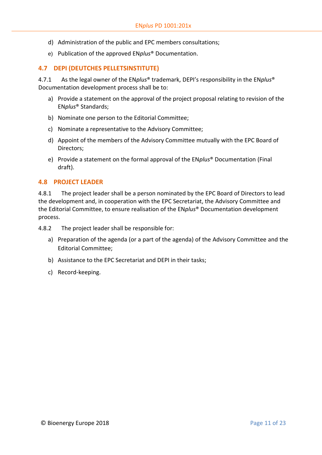- d) Administration of the public and EPC members consultations;
- e) Publication of the approved EN*plus*® Documentation.

# **4.7 DEPI (DEUTCHES PELLETSINSTITUTE)**

4.7.1 As the legal owner of the EN*plus*® trademark, DEPI's responsibility in the EN*plus*® Documentation development process shall be to:

- a) Provide a statement on the approval of the project proposal relating to revision of the EN*plus*® Standards;
- b) Nominate one person to the Editorial Committee;
- c) Nominate a representative to the Advisory Committee;
- d) Appoint of the members of the Advisory Committee mutually with the EPC Board of Directors;
- e) Provide a statement on the formal approval of the EN*plus*® Documentation (Final draft).

#### **4.8 PROJECT LEADER**

4.8.1 The project leader shall be a person nominated by the EPC Board of Directors to lead the development and, in cooperation with the EPC Secretariat, the Advisory Committee and the Editorial Committee, to ensure realisation of the EN*plus*® Documentation development process.

4.8.2 The project leader shall be responsible for:

- a) Preparation of the agenda (or a part of the agenda) of the Advisory Committee and the Editorial Committee;
- b) Assistance to the EPC Secretariat and DEPI in their tasks;
- c) Record-keeping.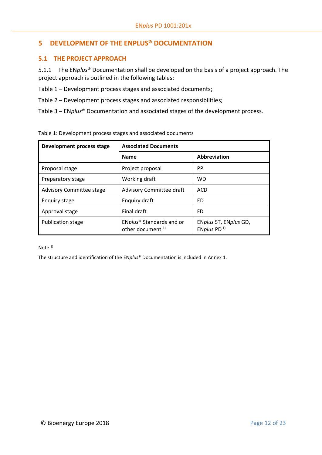# <span id="page-11-0"></span>**5 DEVELOPMENT OF THE ENPLUS® DOCUMENTATION**

# <span id="page-11-1"></span>**5.1 THE PROJECT APPROACH**

5.1.1 The EN*plus*® Documentation shall be developed on the basis of a project approach. The project approach is outlined in the following tables:

Table 1 – Development process stages and associated documents;

Table 2 – Development process stages and associated responsibilities;

Table 3 – EN*plus*® Documentation and associated stages of the development process.

| Development process stage | <b>Associated Documents</b>                                          |                                        |
|---------------------------|----------------------------------------------------------------------|----------------------------------------|
|                           | <b>Name</b>                                                          | Abbreviation                           |
| Proposal stage            | Project proposal                                                     | PP                                     |
| Preparatory stage         | Working draft                                                        | <b>WD</b>                              |
| Advisory Committee stage  | Advisory Committee draft                                             | <b>ACD</b>                             |
| Enquiry stage             | Enguiry draft                                                        | FD.                                    |
| Approval stage            | Final draft                                                          | FD                                     |
| Publication stage         | ENplus <sup>®</sup> Standards and or<br>other document <sup>1)</sup> | ENplus ST, ENplus GD,<br>ENplus PD $1$ |

Table 1: Development process stages and associated documents

Note 1)

The structure and identification of the EN*plus*® Documentation is included in Annex 1.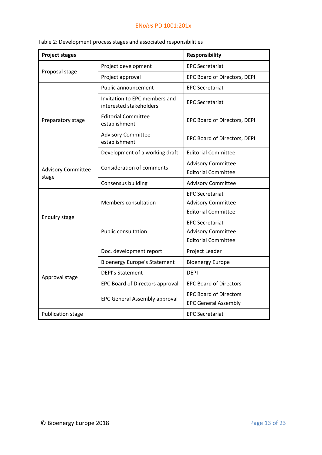| <b>Project stages</b>              |                                                          | <b>Responsibility</b>                                                             |  |
|------------------------------------|----------------------------------------------------------|-----------------------------------------------------------------------------------|--|
|                                    | Project development                                      | <b>EPC Secretariat</b>                                                            |  |
| Proposal stage                     | Project approval                                         | EPC Board of Directors, DEPI                                                      |  |
|                                    | Public announcement                                      | <b>EPC Secretariat</b>                                                            |  |
|                                    | Invitation to EPC members and<br>interested stakeholders | <b>EPC Secretariat</b>                                                            |  |
| Preparatory stage                  | <b>Editorial Committee</b><br>establishment              | EPC Board of Directors, DEPI                                                      |  |
|                                    | <b>Advisory Committee</b><br>establishment               | EPC Board of Directors, DEPI                                                      |  |
|                                    | Development of a working draft                           | <b>Editorial Committee</b>                                                        |  |
| <b>Advisory Committee</b><br>stage | <b>Consideration of comments</b>                         | <b>Advisory Committee</b><br><b>Editorial Committee</b>                           |  |
|                                    | <b>Consensus building</b>                                | <b>Advisory Committee</b>                                                         |  |
|                                    | Members consultation                                     | <b>EPC Secretariat</b><br><b>Advisory Committee</b><br><b>Editorial Committee</b> |  |
| <b>Enquiry stage</b>               | <b>Public consultation</b>                               | <b>EPC Secretariat</b><br><b>Advisory Committee</b><br><b>Editorial Committee</b> |  |
|                                    | Doc. development report                                  | Project Leader                                                                    |  |
|                                    | <b>Bioenergy Europe's Statement</b>                      | <b>Bioenergy Europe</b>                                                           |  |
| Approval stage                     | <b>DEPI's Statement</b>                                  | <b>DEPI</b>                                                                       |  |
|                                    | EPC Board of Directors approval                          | <b>EPC Board of Directors</b>                                                     |  |
|                                    | <b>EPC General Assembly approval</b>                     | <b>EPC Board of Directors</b><br><b>EPC General Assembly</b>                      |  |
| <b>Publication stage</b>           |                                                          | <b>EPC Secretariat</b>                                                            |  |

Table 2: Development process stages and associated responsibilities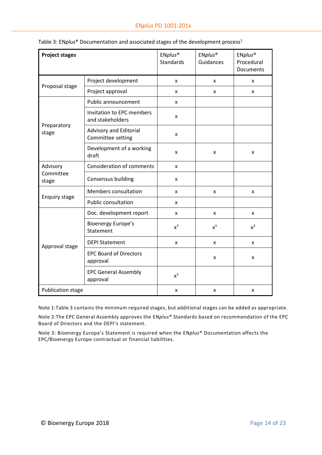| <b>Project stages</b> |                                               | ENplus <sup>®</sup><br><b>Standards</b> | ENplus <sup>®</sup><br>Guidances | ENplus <sup>®</sup><br>Procedural<br><b>Documents</b> |
|-----------------------|-----------------------------------------------|-----------------------------------------|----------------------------------|-------------------------------------------------------|
|                       | Project development                           | X                                       | X                                | X                                                     |
| Proposal stage        | Project approval                              | X                                       | x                                | X                                                     |
|                       | Public announcement                           | X                                       |                                  |                                                       |
|                       | Invitation to EPC members<br>and stakeholders | x                                       |                                  |                                                       |
| Preparatory<br>stage  | Advisory and Editorial<br>Committee setting   | X                                       |                                  |                                                       |
|                       | Development of a working<br>draft             | x                                       | X                                | X                                                     |
| Advisory              | <b>Consideration of comments</b>              | X                                       |                                  |                                                       |
| Committee<br>stage    | Consensus building                            | X                                       |                                  |                                                       |
|                       | Members consultation                          | X                                       | X                                | X                                                     |
| <b>Enquiry stage</b>  | Public consultation                           | X                                       |                                  |                                                       |
|                       | Doc. development report                       | X                                       | X                                | X                                                     |
|                       | <b>Bioenergy Europe's</b><br>Statement        | $x^3$                                   | $x^3$                            | $x^3$                                                 |
| Approval stage        | <b>DEPI Statement</b>                         | X                                       | x                                | X                                                     |
|                       | <b>EPC Board of Directors</b><br>approval     |                                         | x                                | X                                                     |
|                       | <b>EPC General Assembly</b><br>approval       | $x^2$                                   |                                  |                                                       |
| Publication stage     |                                               | X                                       | x                                | X                                                     |

| Table 3: ENplus <sup>®</sup> Documentation and associated stages of the development process <sup>1</sup> |  |  |  |  |  |  |
|----------------------------------------------------------------------------------------------------------|--|--|--|--|--|--|
|----------------------------------------------------------------------------------------------------------|--|--|--|--|--|--|

Note 1:Table 3 contains the minimum required stages, but additional stages can be added as appropriate.

Note 2:The EPC General Assembly approves the EN*plus*® Standards based on recommendation of the EPC Board of Directors and the DEPI's statement.

Note 3: Bioenergy Europe's Statement is required when the EN*plus*® Documentation affects the EPC/Bioenergy Europe contractual or financial liabilities.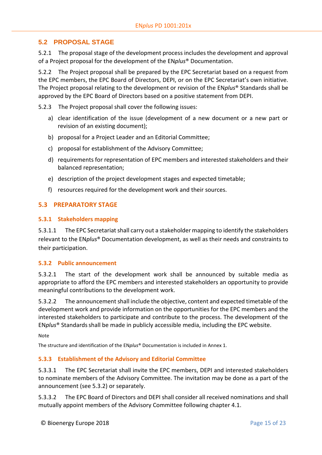# <span id="page-14-0"></span>**5.2 PROPOSAL STAGE**

5.2.1 The proposal stage of the development process includes the development and approval of a Project proposal for the development of the EN*plus*® Documentation.

5.2.2 The Project proposal shall be prepared by the EPC Secretariat based on a request from the EPC members, the EPC Board of Directors, DEPI, or on the EPC Secretariat's own initiative. The Project proposal relating to the development or revision of the EN*plus*® Standards shall be approved by the EPC Board of Directors based on a positive statement from DEPI.

5.2.3 The Project proposal shall cover the following issues:

- a) clear identification of the issue (development of a new document or a new part or revision of an existing document);
- b) proposal for a Project Leader and an Editorial Committee;
- c) proposal for establishment of the Advisory Committee;
- d) requirements for representation of EPC members and interested stakeholders and their balanced representation;
- e) description of the project development stages and expected timetable;
- f) resources required for the development work and their sources.

# <span id="page-14-1"></span>**5.3 PREPARATORY STAGE**

#### **5.3.1 Stakeholders mapping**

5.3.1.1 The EPC Secretariat shall carry out a stakeholder mapping to identify the stakeholders relevant to the EN*plus*® Documentation development, as well as their needs and constraints to their participation.

# **5.3.2 Public announcement**

5.3.2.1 The start of the development work shall be announced by suitable media as appropriate to afford the EPC members and interested stakeholders an opportunity to provide meaningful contributions to the development work.

5.3.2.2 The announcement shall include the objective, content and expected timetable of the development work and provide information on the opportunities for the EPC members and the interested stakeholders to participate and contribute to the process. The development of the EN*plus*® Standardsshall be made in publicly accessible media, including the EPC website.

**Note** 

The structure and identification of the EN*plus*® Documentation is included in Annex 1.

# **5.3.3 Establishment of the Advisory and Editorial Committee**

5.3.3.1 The EPC Secretariat shall invite the EPC members, DEPI and interested stakeholders to nominate members of the Advisory Committee. The invitation may be done as a part of the announcement (see 5.3.2) or separately.

5.3.3.2 The EPC Board of Directors and DEPI shall consider all received nominations and shall mutually appoint members of the Advisory Committee following chapter 4.1.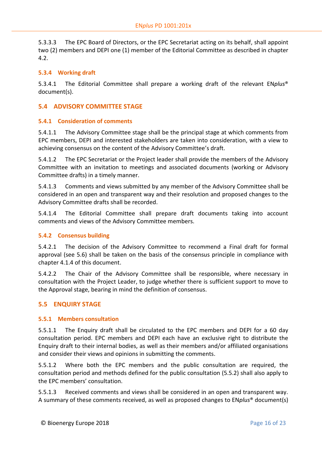5.3.3.3 The EPC Board of Directors, or the EPC Secretariat acting on its behalf, shall appoint two (2) members and DEPI one (1) member of the Editorial Committee as described in chapter 4.2.

# **5.3.4 Working draft**

5.3.4.1 The Editorial Committee shall prepare a working draft of the relevant EN*plus*® document(s).

# <span id="page-15-0"></span>**5.4 ADVISORY COMMITTEE STAGE**

# **5.4.1 Consideration of comments**

5.4.1.1 The Advisory Committee stage shall be the principal stage at which comments from EPC members, DEPI and interested stakeholders are taken into consideration, with a view to achieving consensus on the content of the Advisory Committee's draft.

5.4.1.2 The EPC Secretariat or the Project leader shall provide the members of the Advisory Committee with an invitation to meetings and associated documents (working or Advisory Committee drafts) in a timely manner.

5.4.1.3 Comments and views submitted by any member of the Advisory Committee shall be considered in an open and transparent way and their resolution and proposed changes to the Advisory Committee drafts shall be recorded.

5.4.1.4 The Editorial Committee shall prepare draft documents taking into account comments and views of the Advisory Committee members.

# **5.4.2 Consensus building**

5.4.2.1 The decision of the Advisory Committee to recommend a Final draft for formal approval (see 5.6) shall be taken on the basis of the consensus principle in compliance with chapter 4.1.4 of this document.

5.4.2.2 The Chair of the Advisory Committee shall be responsible, where necessary in consultation with the Project Leader, to judge whether there is sufficient support to move to the Approval stage, bearing in mind the definition of consensus.

# <span id="page-15-1"></span>**5.5 ENQUIRY STAGE**

# **5.5.1 Members consultation**

5.5.1.1 The Enquiry draft shall be circulated to the EPC members and DEPI for a 60 day consultation period. EPC members and DEPI each have an exclusive right to distribute the Enquiry draft to their internal bodies, as well as their members and/or affiliated organisations and consider their views and opinions in submitting the comments.

5.5.1.2 Where both the EPC members and the public consultation are required, the consultation period and methods defined for the public consultation (5.5.2) shall also apply to the EPC members' consultation.

5.5.1.3 Received comments and views shall be considered in an open and transparent way. A summary of these comments received, as well as proposed changes to EN*plus*® document(s)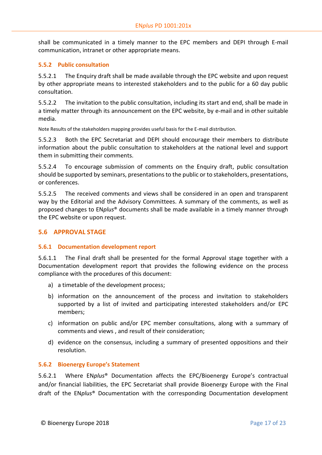shall be communicated in a timely manner to the EPC members and DEPI through E-mail communication, intranet or other appropriate means.

#### **5.5.2 Public consultation**

5.5.2.1 The Enquiry draft shall be made available through the EPC website and upon request by other appropriate means to interested stakeholders and to the public for a 60 day public consultation.

5.5.2.2 The invitation to the public consultation, including its start and end, shall be made in a timely matter through its announcement on the EPC website, by e-mail and in other suitable media.

Note Results of the stakeholders mapping provides useful basis for the E-mail distribution.

5.5.2.3 Both the EPC Secretariat and DEPI should encourage their members to distribute information about the public consultation to stakeholders at the national level and support them in submitting their comments.

5.5.2.4 To encourage submission of comments on the Enquiry draft, public consultation should be supported by seminars, presentations to the public or to stakeholders, presentations, or conferences.

5.5.2.5 The received comments and views shall be considered in an open and transparent way by the Editorial and the Advisory Committees. A summary of the comments, as well as proposed changes to EN*plus*® documents shall be made available in a timely manner through the EPC website or upon request.

# **5.6 APPROVAL STAGE**

#### **5.6.1 Documentation development report**

5.6.1.1 The Final draft shall be presented for the formal Approval stage together with a Documentation development report that provides the following evidence on the process compliance with the procedures of this document:

- a) a timetable of the development process;
- b) information on the announcement of the process and invitation to stakeholders supported by a list of invited and participating interested stakeholders and/or EPC members;
- c) information on public and/or EPC member consultations, along with a summary of comments and views , and result of their consideration;
- d) evidence on the consensus, including a summary of presented oppositions and their resolution.

#### **5.6.2 Bioenergy Europe's Statement**

5.6.2.1 Where EN*plus*® Documentation affects the EPC/Bioenergy Europe's contractual and/or financial liabilities, the EPC Secretariat shall provide Bioenergy Europe with the Final draft of the EN*plus*® Documentation with the corresponding Documentation development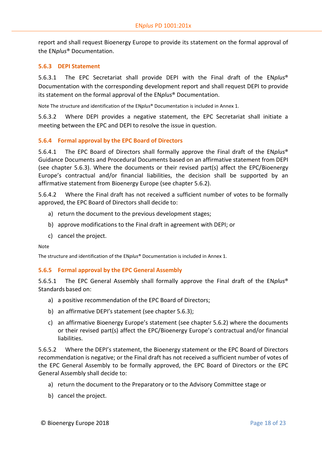report and shall request Bioenergy Europe to provide its statement on the formal approval of the EN*plus*® Documentation.

#### **5.6.3 DEPI Statement**

5.6.3.1 The EPC Secretariat shall provide DEPI with the Final draft of the EN*plus*® Documentation with the corresponding development report and shall request DEPI to provide its statement on the formal approval of the EN*plus*® Documentation.

Note The structure and identification of the EN*plus*® Documentation is included in Annex 1.

5.6.3.2 Where DEPI provides a negative statement, the EPC Secretariat shall initiate a meeting between the EPC and DEPI to resolve the issue in question.

# **5.6.4 Formal approval by the EPC Board of Directors**

5.6.4.1 The EPC Board of Directors shall formally approve the Final draft of the EN*plus*® Guidance Documents and Procedural Documents based on an affirmative statement from DEPI (see chapter 5.6.3). Where the documents or their revised part(s) affect the EPC/Bioenergy Europe's contractual and/or financial liabilities, the decision shall be supported by an affirmative statement from Bioenergy Europe (see chapter 5.6.2).

5.6.4.2 Where the Final draft has not received a sufficient number of votes to be formally approved, the EPC Board of Directors shall decide to:

- a) return the document to the previous development stages;
- b) approve modifications to the Final draft in agreement with DEPI; or
- c) cancel the project.

Note

The structure and identification of the EN*plus*® Documentation is included in Annex 1.

# **5.6.5 Formal approval by the EPC General Assembly**

5.6.5.1 The EPC General Assembly shall formally approve the Final draft of the EN*plus*® Standards based on:

- a) a positive recommendation of the EPC Board of Directors;
- b) an affirmative DEPI's statement (see chapter 5.6.3);
- c) an affirmative Bioenergy Europe's statement (see chapter 5.6.2) where the documents or their revised part(s) affect the EPC/Bioenergy Europe's contractual and/or financial liabilities.

5.6.5.2 Where the DEPI's statement, the Bioenergy statement or the EPC Board of Directors recommendation is negative; or the Final draft has not received a sufficient number of votes of the EPC General Assembly to be formally approved, the EPC Board of Directors or the EPC General Assembly shall decide to:

- a) return the document to the Preparatory or to the Advisory Committee stage or
- b) cancel the project.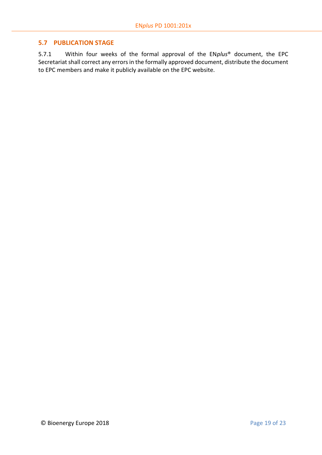# <span id="page-18-0"></span>**5.7 PUBLICATION STAGE**

5.7.1 Within four weeks of the formal approval of the EN*plus*® document, the EPC Secretariat shall correct any errors in the formally approved document, distribute the document to EPC members and make it publicly available on the EPC website.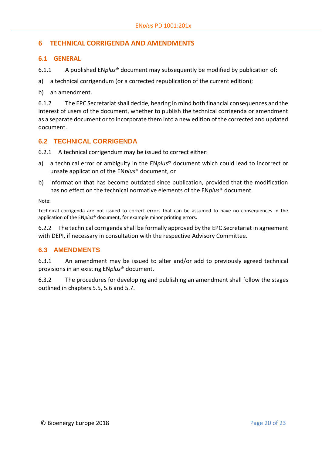# <span id="page-19-0"></span>**6 TECHNICAL CORRIGENDA AND AMENDMENTS**

# **6.1 GENERAL**

- 6.1.1 A published EN*plus*® document may subsequently be modified by publication of:
- a) a technical corrigendum (or a corrected republication of the current edition);
- b) an amendment.

6.1.2 The EPC Secretariat shall decide, bearing in mind both financial consequences and the interest of users of the document, whether to publish the technical corrigenda or amendment as a separate document or to incorporate them into a new edition of the corrected and updated document.

# **6.2 TECHNICAL CORRIGENDA**

6.2.1 A technical corrigendum may be issued to correct either:

- a) a technical error or ambiguity in the EN*plus*® document which could lead to incorrect or unsafe application of the EN*plus*® document, or
- b) information that has become outdated since publication, provided that the modification has no effect on the technical normative elements of the EN*plus*® document.

Note:

Technical corrigenda are not issued to correct errors that can be assumed to have no consequences in the application of the EN*plus*® document, for example minor printing errors.

6.2.2 The technical corrigenda shall be formally approved by the EPC Secretariat in agreement with DEPI, if necessary in consultation with the respective Advisory Committee.

# **6.3 AMENDMENTS**

6.3.1 An amendment may be issued to alter and/or add to previously agreed technical provisions in an existing EN*plus*® document.

6.3.2 The procedures for developing and publishing an amendment shall follow the stages outlined in chapters 5.5, 5.6 and 5.7.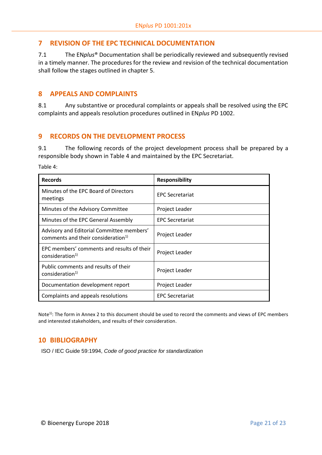# <span id="page-20-0"></span>**7 REVISION OF THE EPC TECHNICAL DOCUMENTATION**

7.1 The EN*plus*® Documentation shall be periodically reviewed and subsequently revised in a timely manner. The procedures for the review and revision of the technical documentation shall follow the stages outlined in chapter 5.

# <span id="page-20-1"></span>**8 APPEALS AND COMPLAINTS**

8.1 Any substantive or procedural complaints or appeals shall be resolved using the EPC complaints and appeals resolution procedures outlined in EN*plus* PD 1002.

# <span id="page-20-2"></span>**9 RECORDS ON THE DEVELOPMENT PROCESS**

9.1 The following records of the project development process shall be prepared by a responsible body shown in Table 4 and maintained by the EPC Secretariat.

Table 4:

| <b>Records</b>                                                                              | <b>Responsibility</b>  |
|---------------------------------------------------------------------------------------------|------------------------|
| Minutes of the EPC Board of Directors<br>meetings                                           | <b>EPC Secretariat</b> |
| Minutes of the Advisory Committee                                                           | Project Leader         |
| Minutes of the EPC General Assembly                                                         | <b>EPC Secretariat</b> |
| Advisory and Editorial Committee members'<br>comments and their consideration <sup>1)</sup> | Project Leader         |
| EPC members' comments and results of their<br>consideration <sup>1)</sup>                   | <b>Project Leader</b>  |
| Public comments and results of their<br>consideration <sup>1)</sup>                         | Project Leader         |
| Documentation development report                                                            | Project Leader         |
| Complaints and appeals resolutions                                                          | <b>EPC Secretariat</b> |

Note<sup>1)</sup>: The form in Annex 2 to this document should be used to record the comments and views of EPC members and interested stakeholders, and results of their consideration.

# <span id="page-20-3"></span>**10 BIBLIOGRAPHY**

ISO / IEC Guide 59:1994, *Code of good practice for standardization*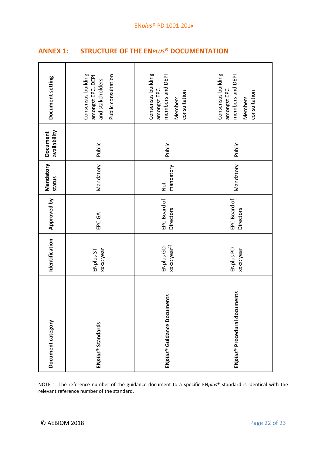<span id="page-21-0"></span>

| <b>ANNEX 1:</b> |  |  | <b>STRUCTURE OF THE ENPLUS® DOCUMENTATION</b> |
|-----------------|--|--|-----------------------------------------------|
|-----------------|--|--|-----------------------------------------------|

| Document category                        | Identification                        | Approved by                      | Mandatory<br>status | availability<br>Document | Document setting                                                                   |
|------------------------------------------|---------------------------------------|----------------------------------|---------------------|--------------------------|------------------------------------------------------------------------------------|
| ENplus <sup>®</sup> Standards            | xxxx: year<br>ENplus ST               | EPC GA                           | Mandatory           | Public                   | Consensus building<br>Public consultation<br>amongst EPC, DEPI<br>and stakeholders |
| ENplus <sup>®</sup> Guidance Documents   | xxxx: year <sup>1)</sup><br>ENplus GD | EPC Board of<br><b>Directors</b> | mandatory<br>Not    | Public                   | Consensus building<br>members and DEPI<br>amongst EPC<br>consultation<br>Members   |
| ENplus <sup>®</sup> Procedural documents | ENplus PD<br>xxxx: year               | EPC Board of<br>Directors        | Mandatory           | Public                   | Consensus building<br>members and DEPI<br>amongst EPC<br>consultation<br>Members   |

NOTE 1: The reference number of the guidance document to a specific EN*plus*® standard is identical with the relevant reference number of the standard.